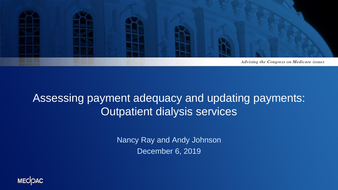

### Assessing payment adequacy and updating payments: Outpatient dialysis services

Nancy Ray and Andy Johnson December 6, 2019

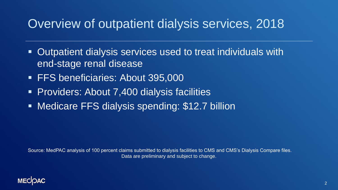### Overview of outpatient dialysis services, 2018

- Outpatient dialysis services used to treat individuals with end-stage renal disease
- **FFS beneficiaries: About 395,000**
- **Providers: About 7,400 dialysis facilities**
- **EXEDENCE FRS dialysis spending: \$12.7 billion**

Source: MedPAC analysis of 100 percent claims submitted to dialysis facilities to CMS and CMS's Dialysis Compare files. Data are preliminary and subject to change.

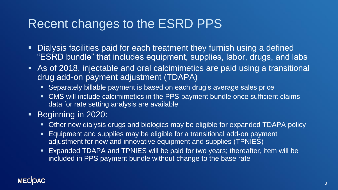### Recent changes to the ESRD PPS

- Dialysis facilities paid for each treatment they furnish using a defined "ESRD bundle" that includes equipment, supplies, labor, drugs, and labs
- As of 2018, injectable and oral calcimimetics are paid using a transitional drug add-on payment adjustment (TDAPA)
	- Separately billable payment is based on each drug's average sales price
	- CMS will include calcimimetics in the PPS payment bundle once sufficient claims data for rate setting analysis are available
- Beginning in 2020:
	- Other new dialysis drugs and biologics may be eligible for expanded TDAPA policy
	- **Equipment and supplies may be eligible for a transitional add-on payment** adjustment for new and innovative equipment and supplies (TPNIES)
	- Expanded TDAPA and TPNIES will be paid for two years; thereafter, item will be included in PPS payment bundle without change to the base rate

#### **MECOAC**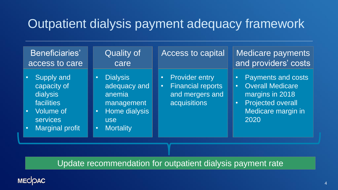### Outpatient dialysis payment adequacy framework

| Beneficiaries'<br>access to care                                                                                                                                   | <b>Quality of</b><br>care                                                                                                                         | <b>Access to capital</b>                                                                                         | <b>Medicare payments</b><br>and providers' costs                                                                                                                  |
|--------------------------------------------------------------------------------------------------------------------------------------------------------------------|---------------------------------------------------------------------------------------------------------------------------------------------------|------------------------------------------------------------------------------------------------------------------|-------------------------------------------------------------------------------------------------------------------------------------------------------------------|
| <b>Supply and</b><br>$\bullet$<br>capacity of<br>dialysis<br>facilities<br><b>Volume of</b><br>$\bullet$<br><b>services</b><br><b>Marginal profit</b><br>$\bullet$ | <b>Dialysis</b><br>$\bullet$<br>adequacy and<br>anemia<br>management<br>Home dialysis<br>$\bullet$<br><b>use</b><br><b>Mortality</b><br>$\bullet$ | <b>Provider entry</b><br>$\bullet$<br><b>Financial reports</b><br>$\bullet^+$<br>and mergers and<br>acquisitions | <b>Payments and costs</b><br><b>O</b><br><b>Overall Medicare</b><br>$\bullet^+$<br>margins in 2018<br><b>Projected overall</b><br>Ø<br>Medicare margin in<br>2020 |
|                                                                                                                                                                    |                                                                                                                                                   |                                                                                                                  |                                                                                                                                                                   |

Update recommendation for outpatient dialysis payment rate

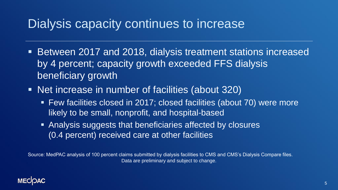### Dialysis capacity continues to increase

- Between 2017 and 2018, dialysis treatment stations increased by 4 percent; capacity growth exceeded FFS dialysis beneficiary growth
- Net increase in number of facilities (about 320)
	- Few facilities closed in 2017; closed facilities (about 70) were more likely to be small, nonprofit, and hospital-based
	- Analysis suggests that beneficiaries affected by closures (0.4 percent) received care at other facilities

Source: MedPAC analysis of 100 percent claims submitted by dialysis facilities to CMS and CMS's Dialysis Compare files. Data are preliminary and subject to change.

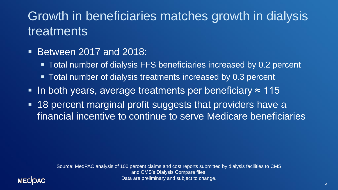# Growth in beneficiaries matches growth in dialysis **treatments**

### ■ Between 2017 and 2018:

- Total number of dialysis FFS beneficiaries increased by 0.2 percent
- Total number of dialysis treatments increased by 0.3 percent
- In both years, average treatments per beneficiary  $\approx$  115
- 18 percent marginal profit suggests that providers have a financial incentive to continue to serve Medicare beneficiaries

Source: MedPAC analysis of 100 percent claims and cost reports submitted by dialysis facilities to CMS and CMS's Dialysis Compare files. Data are preliminary and subject to change.

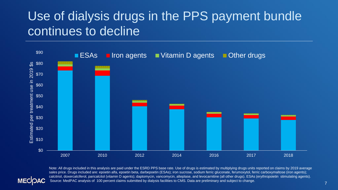### Use of dialysis drugs in the PPS payment bundle continues to decline



**MECOAC** 

Note: All drugs included in this analysis are paid under the ESRD PPS base rate. Use of drugs is estimated by multiplying drugs units reported on claims by 2019 average sales price. Drugs included are: epoetin alfa, epoetin beta, darbepoetin (ESAs); iron sucrose, sodium ferric gluconate, ferumoxytol, ferric carboxymaltose (iron agents); calcitriol, doxercalciferol, paricalcitol (vitamin D agents); daptomycin, vancomycin, alteplase, and levocarnitine (all other drugs). ESAs (erythropoietin stimulating agents). Source: MedPAC analysis of 100 percent claims submitted by dialysis facilities to CMS. Data are preliminary and subject to change.

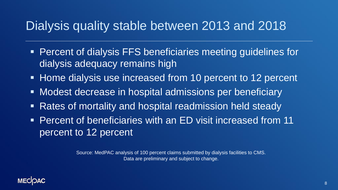### Dialysis quality stable between 2013 and 2018

- Percent of dialysis FFS beneficiaries meeting guidelines for dialysis adequacy remains high
- Home dialysis use increased from 10 percent to 12 percent
- Modest decrease in hospital admissions per beneficiary
- **EXATE: Prospice Theorem Prospital readmission held steady**
- **Percent of beneficiaries with an ED visit increased from 11** percent to 12 percent

Source: MedPAC analysis of 100 percent claims submitted by dialysis facilities to CMS. Data are preliminary and subject to change.

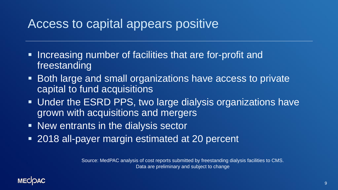### Access to capital appears positive

- **Increasing number of facilities that are for-profit and** freestanding
- Both large and small organizations have access to private capital to fund acquisitions
- Under the ESRD PPS, two large dialysis organizations have grown with acquisitions and mergers
- New entrants in the dialysis sector
- 2018 all-payer margin estimated at 20 percent

Source: MedPAC analysis of cost reports submitted by freestanding dialysis facilities to CMS. Data are preliminary and subject to change

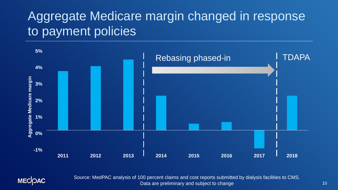# Aggregate Medicare margin changed in response to payment policies



**MECOAC** 

Source: MedPAC analysis of 100 percent claims and cost reports submitted by dialysis facilities to CMS. Data are preliminary and subject to change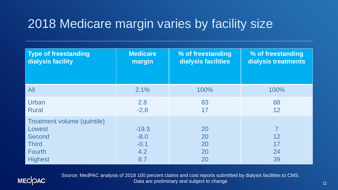# 2018 Medicare margin varies by facility size

| <b>Type of freestanding</b>                                                                        | <b>Medicare</b>                           | % of freestanding          | % of freestanding         |
|----------------------------------------------------------------------------------------------------|-------------------------------------------|----------------------------|---------------------------|
| dialysis facility                                                                                  | margin                                    | dialysis facilities        | dialysis treatments       |
| All                                                                                                | 2.1%                                      | 100%                       | 100%                      |
| Urban                                                                                              | 2.8                                       | 83                         | 88                        |
| <b>Rural</b>                                                                                       | $-2.8$                                    | 17                         | 12                        |
| Treatment volume (quintile)<br>Lowest<br>Second<br><b>Third</b><br><b>Fourth</b><br><b>Highest</b> | $-19.3$<br>$-8.0$<br>$-0.1$<br>4.2<br>8.7 | 20<br>20<br>20<br>20<br>20 | 7<br>12<br>17<br>24<br>39 |



Source: MedPAC analysis of 2018 100 percent claims and cost reports submitted by dialysis facilities to CMS. Data are preliminary and subject to change